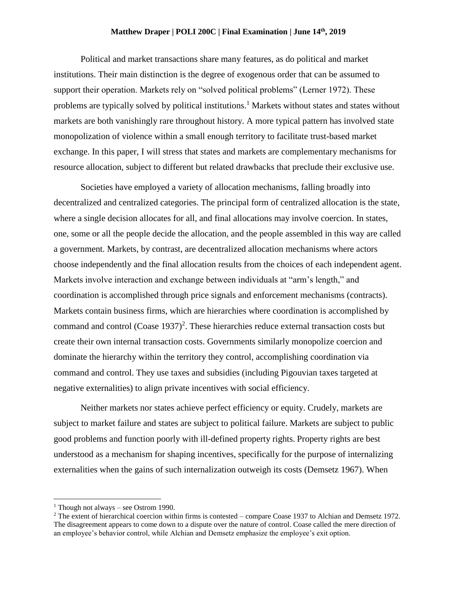## **Matthew Draper | POLI 200C | Final Examination | June 14th , 2019**

Political and market transactions share many features, as do political and market institutions. Their main distinction is the degree of exogenous order that can be assumed to support their operation. Markets rely on "solved political problems" (Lerner 1972). These problems are typically solved by political institutions.<sup>1</sup> Markets without states and states without markets are both vanishingly rare throughout history. A more typical pattern has involved state monopolization of violence within a small enough territory to facilitate trust-based market exchange. In this paper, I will stress that states and markets are complementary mechanisms for resource allocation, subject to different but related drawbacks that preclude their exclusive use.

Societies have employed a variety of allocation mechanisms, falling broadly into decentralized and centralized categories. The principal form of centralized allocation is the state, where a single decision allocates for all, and final allocations may involve coercion. In states, one, some or all the people decide the allocation, and the people assembled in this way are called a government. Markets, by contrast, are decentralized allocation mechanisms where actors choose independently and the final allocation results from the choices of each independent agent. Markets involve interaction and exchange between individuals at "arm's length," and coordination is accomplished through price signals and enforcement mechanisms (contracts). Markets contain business firms, which are hierarchies where coordination is accomplished by command and control  $(Coase 1937)^2$ . These hierarchies reduce external transaction costs but create their own internal transaction costs. Governments similarly monopolize coercion and dominate the hierarchy within the territory they control, accomplishing coordination via command and control. They use taxes and subsidies (including Pigouvian taxes targeted at negative externalities) to align private incentives with social efficiency.

Neither markets nor states achieve perfect efficiency or equity. Crudely, markets are subject to market failure and states are subject to political failure. Markets are subject to public good problems and function poorly with ill-defined property rights. Property rights are best understood as a mechanism for shaping incentives, specifically for the purpose of internalizing externalities when the gains of such internalization outweigh its costs (Demsetz 1967). When

 $\overline{a}$ 

<sup>&</sup>lt;sup>1</sup> Though not always – see Ostrom 1990.

<sup>&</sup>lt;sup>2</sup> The extent of hierarchical coercion within firms is contested – compare Coase 1937 to Alchian and Demsetz 1972. The disagreement appears to come down to a dispute over the nature of control. Coase called the mere direction of an employee's behavior control, while Alchian and Demsetz emphasize the employee's exit option.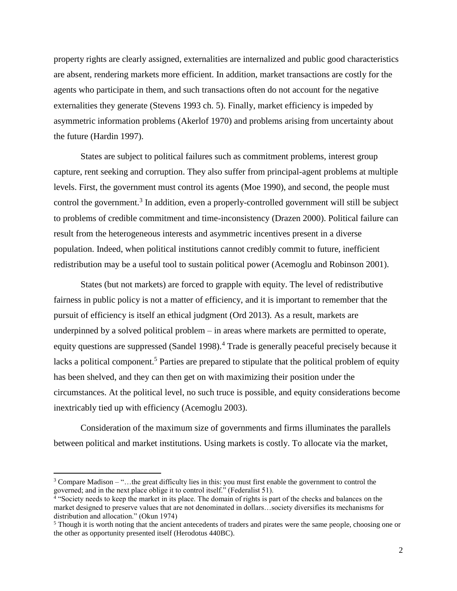property rights are clearly assigned, externalities are internalized and public good characteristics are absent, rendering markets more efficient. In addition, market transactions are costly for the agents who participate in them, and such transactions often do not account for the negative externalities they generate (Stevens 1993 ch. 5). Finally, market efficiency is impeded by asymmetric information problems (Akerlof 1970) and problems arising from uncertainty about the future (Hardin 1997).

States are subject to political failures such as commitment problems, interest group capture, rent seeking and corruption. They also suffer from principal-agent problems at multiple levels. First, the government must control its agents (Moe 1990), and second, the people must control the government.<sup>3</sup> In addition, even a properly-controlled government will still be subject to problems of credible commitment and time-inconsistency (Drazen 2000). Political failure can result from the heterogeneous interests and asymmetric incentives present in a diverse population. Indeed, when political institutions cannot credibly commit to future, inefficient redistribution may be a useful tool to sustain political power (Acemoglu and Robinson 2001).

States (but not markets) are forced to grapple with equity. The level of redistributive fairness in public policy is not a matter of efficiency, and it is important to remember that the pursuit of efficiency is itself an ethical judgment (Ord 2013). As a result, markets are underpinned by a solved political problem – in areas where markets are permitted to operate, equity questions are suppressed (Sandel 1998).<sup>4</sup> Trade is generally peaceful precisely because it lacks a political component.<sup>5</sup> Parties are prepared to stipulate that the political problem of equity has been shelved, and they can then get on with maximizing their position under the circumstances. At the political level, no such truce is possible, and equity considerations become inextricably tied up with efficiency (Acemoglu 2003).

Consideration of the maximum size of governments and firms illuminates the parallels between political and market institutions. Using markets is costly. To allocate via the market,

 $\overline{\phantom{a}}$ 

 $3$  Compare Madison – "... the great difficulty lies in this: you must first enable the government to control the governed; and in the next place oblige it to control itself." (Federalist 51).

<sup>&</sup>lt;sup>4</sup> "Society needs to keep the market in its place. The domain of rights is part of the checks and balances on the market designed to preserve values that are not denominated in dollars…society diversifies its mechanisms for distribution and allocation." (Okun 1974)

<sup>&</sup>lt;sup>5</sup> Though it is worth noting that the ancient antecedents of traders and pirates were the same people, choosing one or the other as opportunity presented itself (Herodotus 440BC).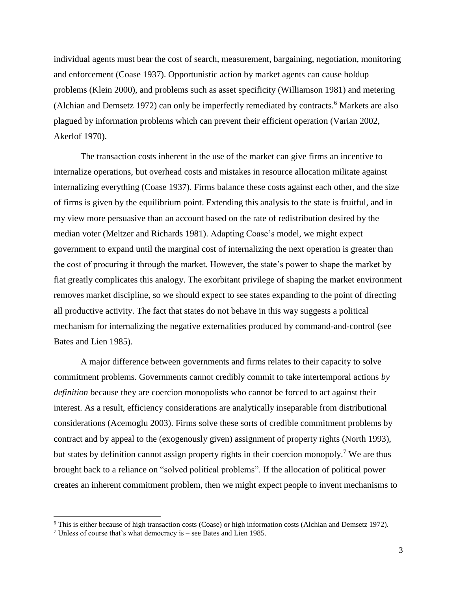individual agents must bear the cost of search, measurement, bargaining, negotiation, monitoring and enforcement (Coase 1937). Opportunistic action by market agents can cause holdup problems (Klein 2000), and problems such as asset specificity (Williamson 1981) and metering (Alchian and Demsetz 1972) can only be imperfectly remediated by contracts.<sup>6</sup> Markets are also plagued by information problems which can prevent their efficient operation (Varian 2002, Akerlof 1970).

The transaction costs inherent in the use of the market can give firms an incentive to internalize operations, but overhead costs and mistakes in resource allocation militate against internalizing everything (Coase 1937). Firms balance these costs against each other, and the size of firms is given by the equilibrium point. Extending this analysis to the state is fruitful, and in my view more persuasive than an account based on the rate of redistribution desired by the median voter (Meltzer and Richards 1981). Adapting Coase's model, we might expect government to expand until the marginal cost of internalizing the next operation is greater than the cost of procuring it through the market. However, the state's power to shape the market by fiat greatly complicates this analogy. The exorbitant privilege of shaping the market environment removes market discipline, so we should expect to see states expanding to the point of directing all productive activity. The fact that states do not behave in this way suggests a political mechanism for internalizing the negative externalities produced by command-and-control (see Bates and Lien 1985).

A major difference between governments and firms relates to their capacity to solve commitment problems. Governments cannot credibly commit to take intertemporal actions *by definition* because they are coercion monopolists who cannot be forced to act against their interest. As a result, efficiency considerations are analytically inseparable from distributional considerations (Acemoglu 2003). Firms solve these sorts of credible commitment problems by contract and by appeal to the (exogenously given) assignment of property rights (North 1993), but states by definition cannot assign property rights in their coercion monopoly.<sup>7</sup> We are thus brought back to a reliance on "solved political problems". If the allocation of political power creates an inherent commitment problem, then we might expect people to invent mechanisms to

 $\overline{a}$ 

<sup>6</sup> This is either because of high transaction costs (Coase) or high information costs (Alchian and Demsetz 1972).

<sup>7</sup> Unless of course that's what democracy is – see Bates and Lien 1985.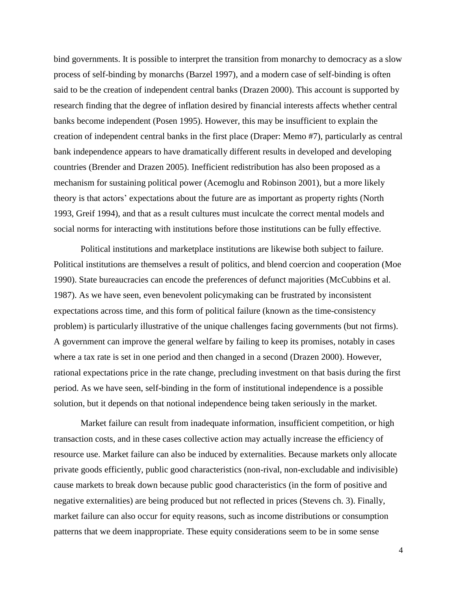bind governments. It is possible to interpret the transition from monarchy to democracy as a slow process of self-binding by monarchs (Barzel 1997), and a modern case of self-binding is often said to be the creation of independent central banks (Drazen 2000). This account is supported by research finding that the degree of inflation desired by financial interests affects whether central banks become independent (Posen 1995). However, this may be insufficient to explain the creation of independent central banks in the first place (Draper: Memo #7), particularly as central bank independence appears to have dramatically different results in developed and developing countries (Brender and Drazen 2005). Inefficient redistribution has also been proposed as a mechanism for sustaining political power (Acemoglu and Robinson 2001), but a more likely theory is that actors' expectations about the future are as important as property rights (North 1993, Greif 1994), and that as a result cultures must inculcate the correct mental models and social norms for interacting with institutions before those institutions can be fully effective.

Political institutions and marketplace institutions are likewise both subject to failure. Political institutions are themselves a result of politics, and blend coercion and cooperation (Moe 1990). State bureaucracies can encode the preferences of defunct majorities (McCubbins et al. 1987). As we have seen, even benevolent policymaking can be frustrated by inconsistent expectations across time, and this form of political failure (known as the time-consistency problem) is particularly illustrative of the unique challenges facing governments (but not firms). A government can improve the general welfare by failing to keep its promises, notably in cases where a tax rate is set in one period and then changed in a second (Drazen 2000). However, rational expectations price in the rate change, precluding investment on that basis during the first period. As we have seen, self-binding in the form of institutional independence is a possible solution, but it depends on that notional independence being taken seriously in the market.

Market failure can result from inadequate information, insufficient competition, or high transaction costs, and in these cases collective action may actually increase the efficiency of resource use. Market failure can also be induced by externalities. Because markets only allocate private goods efficiently, public good characteristics (non-rival, non-excludable and indivisible) cause markets to break down because public good characteristics (in the form of positive and negative externalities) are being produced but not reflected in prices (Stevens ch. 3). Finally, market failure can also occur for equity reasons, such as income distributions or consumption patterns that we deem inappropriate. These equity considerations seem to be in some sense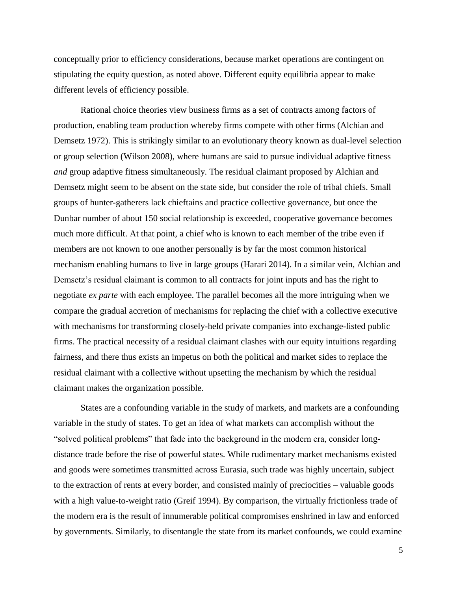conceptually prior to efficiency considerations, because market operations are contingent on stipulating the equity question, as noted above. Different equity equilibria appear to make different levels of efficiency possible.

Rational choice theories view business firms as a set of contracts among factors of production, enabling team production whereby firms compete with other firms (Alchian and Demsetz 1972). This is strikingly similar to an evolutionary theory known as dual-level selection or group selection (Wilson 2008), where humans are said to pursue individual adaptive fitness *and* group adaptive fitness simultaneously. The residual claimant proposed by Alchian and Demsetz might seem to be absent on the state side, but consider the role of tribal chiefs. Small groups of hunter-gatherers lack chieftains and practice collective governance, but once the Dunbar number of about 150 social relationship is exceeded, cooperative governance becomes much more difficult. At that point, a chief who is known to each member of the tribe even if members are not known to one another personally is by far the most common historical mechanism enabling humans to live in large groups (Harari 2014). In a similar vein, Alchian and Demsetz's residual claimant is common to all contracts for joint inputs and has the right to negotiate *ex parte* with each employee. The parallel becomes all the more intriguing when we compare the gradual accretion of mechanisms for replacing the chief with a collective executive with mechanisms for transforming closely-held private companies into exchange-listed public firms. The practical necessity of a residual claimant clashes with our equity intuitions regarding fairness, and there thus exists an impetus on both the political and market sides to replace the residual claimant with a collective without upsetting the mechanism by which the residual claimant makes the organization possible.

States are a confounding variable in the study of markets, and markets are a confounding variable in the study of states. To get an idea of what markets can accomplish without the "solved political problems" that fade into the background in the modern era, consider longdistance trade before the rise of powerful states. While rudimentary market mechanisms existed and goods were sometimes transmitted across Eurasia, such trade was highly uncertain, subject to the extraction of rents at every border, and consisted mainly of preciocities – valuable goods with a high value-to-weight ratio (Greif 1994). By comparison, the virtually frictionless trade of the modern era is the result of innumerable political compromises enshrined in law and enforced by governments. Similarly, to disentangle the state from its market confounds, we could examine

5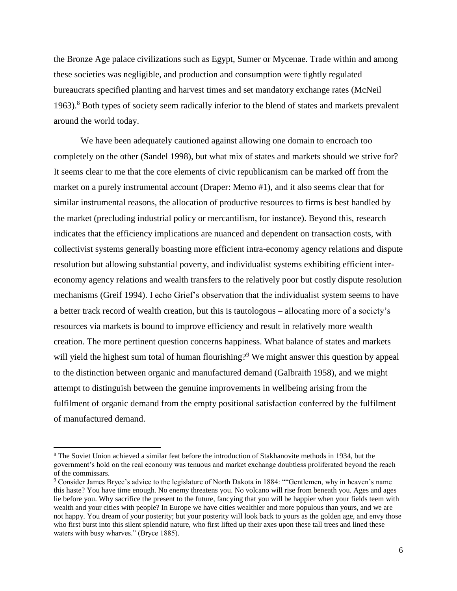the Bronze Age palace civilizations such as Egypt, Sumer or Mycenae. Trade within and among these societies was negligible, and production and consumption were tightly regulated – bureaucrats specified planting and harvest times and set mandatory exchange rates (McNeil 1963).<sup>8</sup> Both types of society seem radically inferior to the blend of states and markets prevalent around the world today.

We have been adequately cautioned against allowing one domain to encroach too completely on the other (Sandel 1998), but what mix of states and markets should we strive for? It seems clear to me that the core elements of civic republicanism can be marked off from the market on a purely instrumental account (Draper: Memo #1), and it also seems clear that for similar instrumental reasons, the allocation of productive resources to firms is best handled by the market (precluding industrial policy or mercantilism, for instance). Beyond this, research indicates that the efficiency implications are nuanced and dependent on transaction costs, with collectivist systems generally boasting more efficient intra-economy agency relations and dispute resolution but allowing substantial poverty, and individualist systems exhibiting efficient intereconomy agency relations and wealth transfers to the relatively poor but costly dispute resolution mechanisms (Greif 1994). I echo Grief's observation that the individualist system seems to have a better track record of wealth creation, but this is tautologous – allocating more of a society's resources via markets is bound to improve efficiency and result in relatively more wealth creation. The more pertinent question concerns happiness. What balance of states and markets will yield the highest sum total of human flourishing?<sup>9</sup> We might answer this question by appeal to the distinction between organic and manufactured demand (Galbraith 1958), and we might attempt to distinguish between the genuine improvements in wellbeing arising from the fulfilment of organic demand from the empty positional satisfaction conferred by the fulfilment of manufactured demand.

 $\overline{a}$ 

<sup>8</sup> The Soviet Union achieved a similar feat before the introduction of Stakhanovite methods in 1934, but the government's hold on the real economy was tenuous and market exchange doubtless proliferated beyond the reach of the commissars.

<sup>9</sup> Consider James Bryce's advice to the legislature of North Dakota in 1884: ""Gentlemen, why in heaven's name this haste? You have time enough. No enemy threatens you. No volcano will rise from beneath you. Ages and ages lie before you. Why sacrifice the present to the future, fancying that you will be happier when your fields teem with wealth and your cities with people? In Europe we have cities wealthier and more populous than yours, and we are not happy. You dream of your posterity; but your posterity will look back to yours as the golden age, and envy those who first burst into this silent splendid nature, who first lifted up their axes upon these tall trees and lined these waters with busy wharves." (Bryce 1885).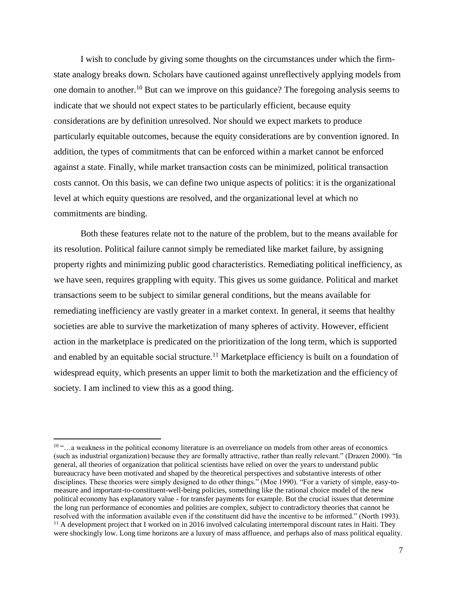I wish to conclude by giving some thoughts on the circumstances under which the firmstate analogy breaks down. Scholars have cautioned against unreflectively applying models from one domain to another.<sup>10</sup> But can we improve on this guidance? The foregoing analysis seems to indicate that we should not expect states to be particularly efficient, because equity considerations are by definition unresolved. Nor should we expect markets to produce particularly equitable outcomes, because the equity considerations are by convention ignored. In addition, the types of commitments that can be enforced within a market cannot be enforced against a state. Finally, while market transaction costs can be minimized, political transaction costs cannot. On this basis, we can define two unique aspects of politics: it is the organizational level at which equity questions are resolved, and the organizational level at which no commitments are binding.

Both these features relate not to the nature of the problem, but to the means available for its resolution. Political failure cannot simply be remediated like market failure, by assigning property rights and minimizing public good characteristics. Remediating political inefficiency, as we have seen, requires grappling with equity. This gives us some guidance. Political and market transactions seem to be subject to similar general conditions, but the means available for remediating inefficiency are vastly greater in a market context. In general, it seems that healthy societies are able to survive the marketization of many spheres of activity. However, efficient action in the marketplace is predicated on the prioritization of the long term, which is supported and enabled by an equitable social structure.<sup>11</sup> Marketplace efficiency is built on a foundation of widespread equity, which presents an upper limit to both the marketization and the efficiency of society. I am inclined to view this as a good thing.

l

<sup>10</sup> "…a weakness in the political economy literature is an overreliance on models from other areas of economics (such as industrial organization) because they are formally attractive, rather than really relevant." (Drazen 2000). "In general, all theories of organization that political scientists have relied on over the years to understand public bureaucracy have been motivated and shaped by the theoretical perspectives and substantive interests of other disciplines. These theories were simply designed to do other things." (Moe 1990). "For a variety of simple, easy-tomeasure and important-to-constituent-well-being policies, something like the rational choice model of the new political economy has explanatory value - for transfer payments for example. But the crucial issues that determine the long run performance of economies and polities are complex, subject to contradictory theories that cannot be resolved with the information available even if the constituent did have the incentive to be informed." (North 1993).  $11$  A development project that I worked on in 2016 involved calculating intertemporal discount rates in Haiti. They were shockingly low. Long time horizons are a luxury of mass affluence, and perhaps also of mass political equality.